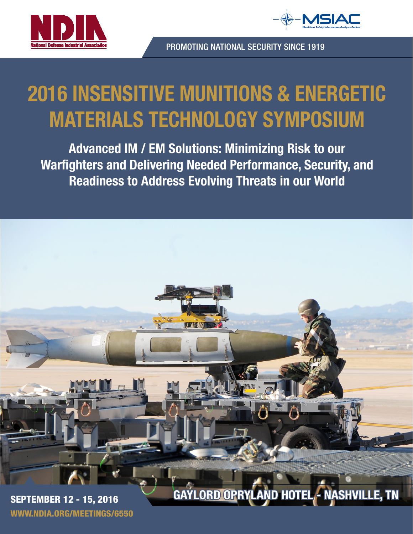



PROMOTING NATIONAL SECURITY SINCE 1919

# 2016 INSENSITIVE MUNITIONS & ENERGETIC MATERIALS TECHNOLOGY SYMPOSIUM

Advanced IM / EM Solutions: Minimizing Risk to our Warfighters and Delivering Needed Performance, Security, and Readiness to Address Evolving Threats in our World

SEPTEMBER 12 - 15, 2016 GAYLORD OPRYLAND HOTEL - NASHVILLE, TN

WWW.NDIA.ORG/MEETINGS/6550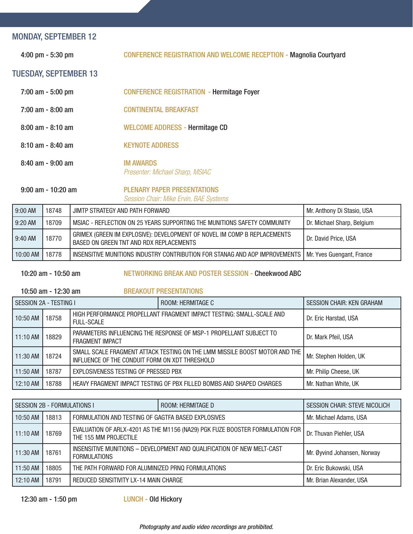#### MONDAY, SEPTEMBER 12

4:00 pm - 5:30 pm CONFERENCE REGISTRATION AND WELCOME RECEPTION - Magnolia Courtyard

#### TUESDAY, SEPTEMBER 13

| $7:00$ am $-5:00$ pm  | <b>CONFERENCE REGISTRATION - Hermitage Foyer</b>    |
|-----------------------|-----------------------------------------------------|
| $7:00$ am - 8:00 am   | <b>CONTINENTAL BREAKFAST</b>                        |
| $8:00$ am - $8:10$ am | <b>WELCOME ADDRESS - Hermitage CD</b>               |
| $8:10$ am $-8:40$ am  | <b>KEYNOTE ADDRESS</b>                              |
| $8:40$ am - $9:00$ am | <b>IM AWARDS</b><br>Presenter: Michael Sharp, MSIAC |

9:00 am - 10:20 am PLENARY PAPER PRESENTATIONS

*Session Chair: Mike Ervin, BAE Systems*

| 9:00 AM   | 18748 | I JIMTP STRATEGY AND PATH FORWARD                                                                                   | Mr. Anthony Di Stasio, USA |
|-----------|-------|---------------------------------------------------------------------------------------------------------------------|----------------------------|
| $9:20$ AM | 18709 | MSIAC - REFLECTION ON 25 YEARS SUPPORTING THE MUNITIONS SAFETY COMMUNITY                                            | Dr. Michael Sharp, Belgium |
| $9:40$ AM | 18770 | GRIMEX (GREEN IM EXPLOSIVE): DEVELOPMENT OF NOVEL IM COMP B REPLACEMENTS<br>BASED ON GREEN TNT AND RDX REPLACEMENTS | Dr. David Price, USA       |
| 10:00 AM  | 18778 | INSENSITIVE MUNITIONS INDUSTRY CONTRIBUTION FOR STANAG AND AOP IMPROVEMENTS   Mr. Yves Guengant, France             |                            |

10:20 am - 10:50 am NETWORKING BREAK AND POSTER SESSION - Cheekwood ABC

10:50 am - 12:30 am BREAKOUT PRESENTATIONS

| SESSION 2A - TESTING I |       |                                                                                                                              | ROOM: HERMITAGE C                                                    | <b>SESSION CHAIR: KEN GRAHAM</b> |
|------------------------|-------|------------------------------------------------------------------------------------------------------------------------------|----------------------------------------------------------------------|----------------------------------|
| $10:50$ AM             | 18758 | HIGH PERFORMANCE PROPELLANT FRAGMENT IMPACT TESTING: SMALL-SCALE AND<br><b>FULL-SCALE</b>                                    |                                                                      | Dr. Eric Harstad, USA            |
| $11:10$ AM             | 18829 | PARAMETERS INFLUENCING THE RESPONSE OF MSP-1 PROPELLANT SUBJECT TO<br><b>FRAGMENT IMPACT</b>                                 |                                                                      | Dr. Mark Pfeil, USA              |
| 11:30 AM               | 18724 | SMALL SCALE FRAGMENT ATTACK TESTING ON THE LMM MISSILE BOOST MOTOR AND THE<br>INFLUENCE OF THE CONDUIT FORM ON XDT THRESHOLD |                                                                      | Mr. Stephen Holden, UK           |
| 11:50 AM               | 18787 | EXPLOSIVENESS TESTING OF PRESSED PBX                                                                                         |                                                                      | Mr. Philip Cheese, UK            |
| $12:10$ AM             | 18788 |                                                                                                                              | HEAVY FRAGMENT IMPACT TESTING OF PBX FILLED BOMBS AND SHAPED CHARGES | Mr. Nathan White, UK             |

| SESSION 2B - FORMULATIONS I |       |                                                                                                       | ROOM: HERMITAGE D | <b>SESSION CHAIR: STEVE NICOLICH</b> |
|-----------------------------|-------|-------------------------------------------------------------------------------------------------------|-------------------|--------------------------------------|
| 10:50 AM                    | 18813 | FORMULATION AND TESTING OF GAGTFA BASED EXPLOSIVES                                                    |                   | Mr. Michael Adams, USA               |
| $11:10$ AM                  | 18769 | EVALUATION OF ARLX-4201 AS THE M1156 (NA29) PGK FUZE BOOSTER FORMULATION FOR<br>THE 155 MM PROJECTILE |                   | Dr. Thuvan Piehler, USA              |
| $11:30$ AM                  | 18761 | INSENSITIVE MUNITIONS - DEVELOPMENT AND QUALIFICATION OF NEW MELT-CAST<br><b>FORMULATIONS</b>         |                   | Mr. Øyvind Johansen, Norway          |
| 11:50 AM                    | 18805 | THE PATH FORWARD FOR ALUMINIZED PRNQ FORMULATIONS                                                     |                   | Dr. Eric Bukowski, USA               |
| $12:10$ AM                  | 18791 | REDUCED SENSITIVITY LX-14 MAIN CHARGE                                                                 |                   | Mr. Brian Alexander, USA             |

12:30 am - 1:50 pm LUNCH - Old Hickory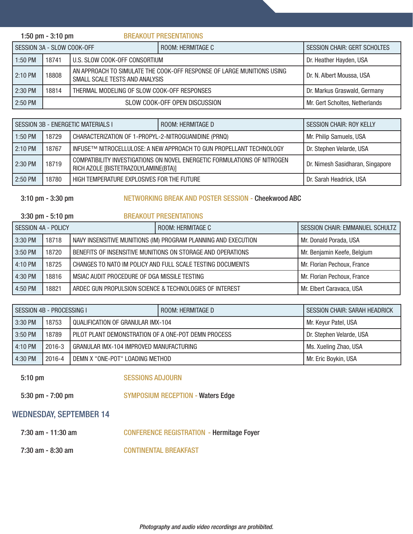|                            | 1:50 pm $-$ 3:10 pm                                                                                               |  | <b>BREAKOUT PRESENTATIONS</b>                            |                                |
|----------------------------|-------------------------------------------------------------------------------------------------------------------|--|----------------------------------------------------------|--------------------------------|
| SESSION 3A - SLOW COOK-OFF |                                                                                                                   |  | ROOM: HERMITAGE C<br><b>SESSION CHAIR: GERT SCHOLTES</b> |                                |
| $1:50$ PM                  | I U.S. SLOW COOK-OFF CONSORTIUM<br>18741                                                                          |  | Dr. Heather Hayden, USA                                  |                                |
| $2:10$ PM                  | AN APPROACH TO SIMULATE THE COOK-OFF RESPONSE OF LARGE MUNITIONS USING<br>18808<br>SMALL SCALE TESTS AND ANALYSIS |  | Dr. N. Albert Moussa, USA                                |                                |
| 2:30 PM                    | 18814<br>THERMAL MODELING OF SLOW COOK-OFF RESPONSES                                                              |  |                                                          | Dr. Markus Graswald, Germany   |
| 2:50 PM                    | SLOW COOK-OFF OPEN DISCUSSION                                                                                     |  |                                                          | Mr. Gert Scholtes, Netherlands |

| SESSION 3B - ENERGETIC MATERIALS I |                                                     |                                                                                                                  | ROOM: HERMITAGE D       | <b>SESSION CHAIR: ROY KELLY</b>  |
|------------------------------------|-----------------------------------------------------|------------------------------------------------------------------------------------------------------------------|-------------------------|----------------------------------|
| 1:50 PM                            | 18729                                               | CHARACTERIZATION OF 1-PROPYL-2-NITROGUANIDINE (PRNQ)                                                             |                         | Mr. Philip Samuels, USA          |
| 2:10 PM                            | 18767                                               | INFUSE™ NITROCELLULOSE: A NEW APPROACH TO GUN PROPELLANT TECHNOLOGY                                              |                         | Dr. Stephen Velarde, USA         |
| 2:30 PM                            | 18719                                               | COMPATIBILITY INVESTIGATIONS ON NOVEL ENERGETIC FORMULATIONS OF NITROGEN<br>RICH AZOLE [BISTETRAZOLYLAMINE(BTA)] |                         | Dr. Nimesh Sasidharan, Singapore |
| 2:50 PM                            | HIGH TEMPERATURE EXPLOSIVES FOR THE FUTURE<br>18780 |                                                                                                                  | Dr. Sarah Headrick, USA |                                  |

#### 3:10 pm - 3:30 pm NETWORKING BREAK AND POSTER SESSION - Cheekwood ABC

|                                                                                      | $3:30$ pm $-5:10$ pm                                  |                                                             | <b>BREAKOUT PRESENTATIONS</b> |                                        |
|--------------------------------------------------------------------------------------|-------------------------------------------------------|-------------------------------------------------------------|-------------------------------|----------------------------------------|
| SESSION 4A - POLICY                                                                  |                                                       |                                                             | ROOM: HERMITAGE C             | <b>SESSION CHAIR: EMMANUEL SCHULTZ</b> |
| NAVY INSENSITIVE MUNITIONS (IM) PROGRAM PLANNING AND EXECUTION<br>$3:30$ PM<br>18718 |                                                       |                                                             |                               | Mr. Donald Porada, USA                 |
| 3:50 PM                                                                              | 18720                                                 | BENEFITS OF INSENSITIVE MUNITIONS ON STORAGE AND OPERATIONS |                               | Mr. Benjamin Keefe, Belgium            |
| 4:10 PM                                                                              | 18725                                                 | CHANGES TO NATO IM POLICY AND FULL SCALE TESTING DOCUMENTS  |                               | Mr. Florian Pechoux, France            |
| 4:30 PM                                                                              | 18816<br>MSIAC AUDIT PROCEDURE OF DGA MISSILE TESTING |                                                             | Mr. Florian Pechoux, France   |                                        |
| 4:50 PM                                                                              | 18821                                                 | ARDEC GUN PROPULSION SCIENCE & TECHNOLOGIES OF INTEREST     |                               | Mr. Elbert Caravaca, USA               |

| SESSION 4B - PROCESSING I                            |        |                                                     | ROOM: HERMITAGE D    | <b>SESSION CHAIR: SARAH HEADRICK</b> |
|------------------------------------------------------|--------|-----------------------------------------------------|----------------------|--------------------------------------|
| 3:30 PM                                              | 18753  | l QUALIFICATION OF GRANULAR IMX-104                 |                      | Mr. Keyur Patel, USA                 |
| 3:50 PM                                              | 18789  | PILOT PLANT DEMONSTRATION OF A ONE-POT DEMN PROCESS |                      | Dr. Stephen Velarde, USA             |
| 4:10 PM                                              | 2016-3 | GRANULAR IMX-104 IMPROVED MANUFACTURING             |                      | Ms. Xueling Zhao, USA                |
| 4:30 PM<br>2016-4<br>DEMN X "ONE-POT" LOADING METHOD |        |                                                     | Mr. Eric Boykin, USA |                                      |

5:10 pm SESSIONS ADJOURN

5:30 pm - 7:00 pm SYMPOSIUM RECEPTION - Waters Edge

#### WEDNESDAY, SEPTEMBER 14

- 7:30 am 11:30 am CONFERENCE REGISTRATION Hermitage Foyer
- 7:30 am 8:30 am CONTINENTAL BREAKFAST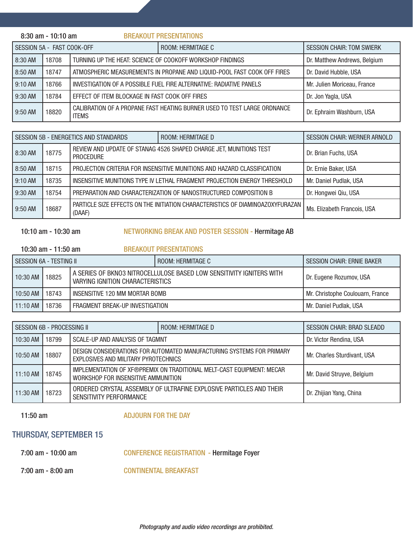|                                                                               | 8:30 am - 10:10 am |                                                                     | <b>BREAKOUT PRESENTATIONS</b>                                            |                                  |
|-------------------------------------------------------------------------------|--------------------|---------------------------------------------------------------------|--------------------------------------------------------------------------|----------------------------------|
| SESSION 5A - FAST COOK-OFF                                                    |                    |                                                                     | ROOM: HERMITAGE C                                                        | <b>SESSION CHAIR: TOM SWIERK</b> |
| 8:30 AM<br>18708<br>TURNING UP THE HEAT: SCIENCE OF COOKOFF WORKSHOP FINDINGS |                    |                                                                     |                                                                          | Dr. Matthew Andrews, Belgium     |
| 8:50 AM                                                                       | 18747              |                                                                     | ATMOSPHERIC MEASUREMENTS IN PROPANE AND LIQUID-POOL FAST COOK OFF FIRES  | Dr. David Hubble, USA            |
| 9:10 AM                                                                       | 18766              | INVESTIGATION OF A POSSIBLE FUEL FIRE ALTERNATIVE: RADIATIVE PANELS |                                                                          | Mr. Julien Moriceau, France      |
| 9:30 AM                                                                       | 18784              | EFFECT OF ITEM BLOCKAGE IN FAST COOK OFF FIRES                      |                                                                          | Dr. Jon Yagla, USA               |
| 9:50 AM                                                                       | 18820              | <b>ITEMS</b>                                                        | CALIBRATION OF A PROPANE FAST HEATING BURNER USED TO TEST LARGE ORDNANCE | Dr. Ephraim Washburn, USA        |

| SESSION 5B - ENERGETICS AND STANDARDS |       |                                                                                        | ROOM: HERMITAGE D                                                              | <b>SESSION CHAIR: WERNER ARNOLD</b> |
|---------------------------------------|-------|----------------------------------------------------------------------------------------|--------------------------------------------------------------------------------|-------------------------------------|
| 8:30 AM                               | 18775 | REVIEW AND UPDATE OF STANAG 4526 SHAPED CHARGE JET, MUNITIONS TEST<br><b>PROCEDURE</b> |                                                                                | Dr. Brian Fuchs, USA                |
| 8:50 AM                               | 18715 | PROJECTION CRITERIA FOR INSENSITIVE MUNITIONS AND HAZARD CLASSIFICATION                |                                                                                | Dr. Ernie Baker, USA                |
| $9:10$ AM                             | 18735 | INSENSITIVE MUNITIONS TYPE IV LETHAL FRAGMENT PROJECTION ENERGY THRESHOLD              |                                                                                | Mr. Daniel Pudlak, USA              |
| $9:30$ AM                             | 18754 | PREPARATION AND CHARACTERIZATION OF NANOSTRUCTURED COMPOSITION B                       |                                                                                | Dr. Hongwei Qiu, USA                |
| l 9:50 AM                             | 18687 | (DAAF)                                                                                 | PARTICLE SIZE EFFECTS ON THE INITIATION CHARACTERISTICS OF DIAMINOAZOXYFURAZAN | Ms. Elizabeth Francois, USA         |

#### 10:10 am - 10:30 am NETWORKING BREAK AND POSTER SESSION - Hermitage AB

#### 10:30 am - 11:50 am BREAKOUT PRESENTATIONS

| SESSION 6A - TESTING IL |       |                                                                                                                 | ROOM: HERMITAGE C | <b>SESSION CHAIR: ERNIE BAKER</b> |
|-------------------------|-------|-----------------------------------------------------------------------------------------------------------------|-------------------|-----------------------------------|
| $10:30$ AM              | 18825 | A SERIES OF BKNO3 NITROCELLULOSE BASED LOW SENSITIVITY IGNITERS WITH<br><b>VARYING IGNITION CHARACTERISTICS</b> |                   | Dr. Eugene Rozumov, USA           |
| 10:50 AM                | 18743 | I INSENSITIVE 120 MM MORTAR BOMB                                                                                |                   | Mr. Christophe Coulouarn, France  |
| 11:10 AM   18736        |       | FRAGMENT BREAK-UP INVESTIGATION                                                                                 |                   | Mr. Daniel Pudlak, USA            |

| SESSION 6B - PROCESSING II |       |                                                                                                               | ROOM: HERMITAGE D | <b>SESSION CHAIR: BRAD SLEADD</b> |
|----------------------------|-------|---------------------------------------------------------------------------------------------------------------|-------------------|-----------------------------------|
| 10:30 AM                   | 18799 | SCALE-UP AND ANALYSIS OF TAGMNT                                                                               |                   | Dr. Victor Rendina, USA           |
| 10:50 AM                   | 18807 | DESIGN CONSIDERATIONS FOR AUTOMATED MANUFACTURING SYSTEMS FOR PRIMARY<br>EXPLOSIVES AND MILITARY PYROTECHNICS |                   | Mr. Charles Sturdivant, USA       |
| $11:10$ AM                 | 18745 | IMPLEMENTATION OF XF®PREMIX ON TRADITIONAL MELT-CAST EQUIPMENT: MECAR<br>WORKSHOP FOR INSENSITIVE AMMUNITION  |                   | Mr. David Struyve, Belgium        |
| $11:30$ AM                 | 18723 | ORDERED CRYSTAL ASSEMBLY OF ULTRAFINE EXPLOSIVE PARTICLES AND THEIR<br>SENSITIVITY PERFORMANCE                |                   | Dr. Zhijian Yang, China           |

11:50 am ADJOURN FOR THE DAY

#### THURSDAY, SEPTEMBER 15

- 7:00 am 10:00 am CONFERENCE REGISTRATION Hermitage Foyer
- 7:00 am 8:00 am CONTINENTAL BREAKFAST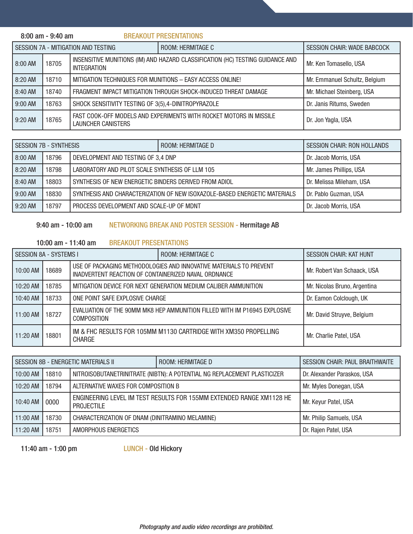|           | $8:00$ am - $9:40$ am |                                                           | <b>BREAKOUT PRESENTATIONS</b>                                                  |                                    |
|-----------|-----------------------|-----------------------------------------------------------|--------------------------------------------------------------------------------|------------------------------------|
|           |                       | SESSION 7A - MITIGATION AND TESTING                       | ROOM: HERMITAGE C                                                              | <b>SESSION CHAIR: WADE BABCOCK</b> |
| $8:00$ AM | 18705                 | <b>INTEGRATION</b>                                        | INSENSITIVE MUNITIONS (IM) AND HAZARD CLASSIFICATION (HC) TESTING GUIDANCE AND | Mr. Ken Tomasello, USA             |
| 8:20 AM   | 18710                 | MITIGATION TECHNIQUES FOR MUNITIONS - EASY ACCESS ONLINE! |                                                                                | Mr. Emmanuel Schultz, Belgium      |
| 8:40 AM   | 18740                 |                                                           | FRAGMENT IMPACT MITIGATION THROUGH SHOCK-INDUCED THREAT DAMAGE                 | Mr. Michael Steinberg, USA         |
| 9:00 AM   | 18763                 | SHOCK SENSITIVITY TESTING OF 3(5),4-DINITROPYRAZOLE       |                                                                                | Dr. Janis Ritums, Sweden           |
| $9:20$ AM | 18765                 | LAUNCHER CANISTERS                                        | FAST COOK-OFF MODELS AND EXPERIMENTS WITH ROCKET MOTORS IN MISSILE             | Dr. Jon Yagla, USA                 |

| <b>SESSION 7B - SYNTHESIS</b> |       |                                                       | ROOM: HERMITAGE D                                                         | <b>SESSION CHAIR: RON HOLLANDS</b> |
|-------------------------------|-------|-------------------------------------------------------|---------------------------------------------------------------------------|------------------------------------|
| 8:00 AM                       | 18796 | DEVELOPMENT AND TESTING OF 3,4 DNP                    |                                                                           | Dr. Jacob Morris, USA              |
| 8:20 AM                       | 18798 | LABORATORY AND PILOT SCALE SYNTHESIS OF LLM 105       |                                                                           | Mr. James Phillips, USA            |
| 8:40 AM                       | 18803 | SYNTHESIS OF NEW ENERGETIC BINDERS DERIVED FROM ADIOL |                                                                           | Dr. Melissa Mileham, USA           |
| 9:00 AM                       | 18830 |                                                       | SYNTHESIS AND CHARACTERIZATION OF NEW ISOXAZOLE-BASED ENERGETIC MATERIALS | Dr. Pablo Guzman, USA              |
| 9:20 AM                       | 18797 | PROCESS DEVELOPMENT AND SCALE-UP OF MDNT              |                                                                           | Dr. Jacob Morris, USA              |

#### 9:40 am - 10:00 am NETWORKING BREAK AND POSTER SESSION - Hermitage AB

#### 10:00 am - 11:40 am BREAKOUT PRESENTATIONS

| SESSION 8A - SYSTEMS I |       |                                                                                                                            | ROOM: HERMITAGE C                                                         | <b>SESSION CHAIR: KAT HUNT</b> |
|------------------------|-------|----------------------------------------------------------------------------------------------------------------------------|---------------------------------------------------------------------------|--------------------------------|
| 10:00 AM               | 18689 | USE OF PACKAGING METHODOLOGIES AND INNOVATIVE MATERIALS TO PREVENT<br>INADVERTENT REACTION OF CONTAINERIZED NAVAL ORDNANCE |                                                                           | Mr. Robert Van Schaack, USA    |
| 10:20 AM               | 18785 | MITIGATION DEVICE FOR NEXT GENERATION MEDIUM CALIBER AMMUNITION                                                            |                                                                           | Mr. Nicolas Bruno, Argentina   |
| 10:40 AM               | 18733 | ONE POINT SAFE EXPLOSIVE CHARGE                                                                                            |                                                                           | Dr. Eamon Colclough, UK        |
| $11:00$ AM             | 18727 | <b>COMPOSITION</b>                                                                                                         | EVALUATION OF THE 90MM MK8 HEP AMMUNITION FILLED WITH IM P16945 EXPLOSIVE | Mr. David Struyve, Belgium     |
| $11:20$ AM             | 18801 | <b>CHARGE</b>                                                                                                              | IM & FHC RESULTS FOR 105MM M1130 CARTRIDGE WITH XM350 PROPELLING          | Mr. Charlie Patel, USA         |

| I SESSION 8B - ENERGETIC MATERIALS II |       |                                                                                           | <b>ROOM: HERMITAGE D</b> | <b>SESSION CHAIR: PAUL BRAITHWAITE</b> |
|---------------------------------------|-------|-------------------------------------------------------------------------------------------|--------------------------|----------------------------------------|
| l 10:00 AM                            | 18810 | NITROISOBUTANETRINITRATE (NIBTN): A POTENTIAL NG REPLACEMENT PLASTICIZER                  |                          | Dr. Alexander Paraskos, USA            |
| l 10:20 AM                            | 18794 | ALTERNATIVE WAXES FOR COMPOSITION B                                                       |                          | Mr. Myles Donegan, USA                 |
| 10:40 AM                              | 0000  | ENGINEERING LEVEL IM TEST RESULTS FOR 155MM EXTENDED RANGE XM1128 HE<br><b>PROJECTILE</b> |                          | Mr. Keyur Patel, USA                   |
| 11:00 AM                              | 18730 | CHARACTERIZATION OF DNAM (DINITRAMINO MELAMINE)                                           |                          | Mr. Philip Samuels, USA                |
| 11:20 AM                              | 18751 | AMORPHOUS ENERGETICS                                                                      |                          | Dr. Rajen Patel, USA                   |

11:40 am - 1:00 pm LUNCH - Old Hickory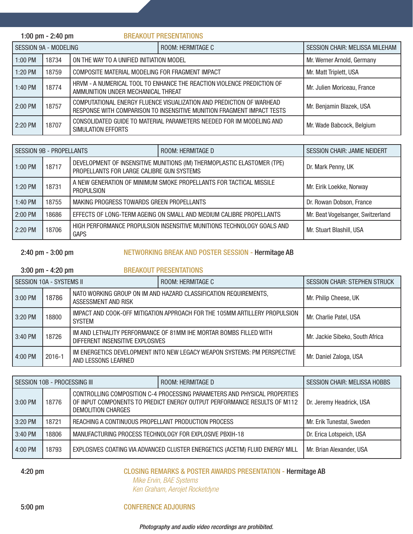|                              | 1:00 pm $-$ 2:40 pm |                                                 | <b>BREAKOUT PRESENTATIONS</b>                                                                                                                  |                                       |
|------------------------------|---------------------|-------------------------------------------------|------------------------------------------------------------------------------------------------------------------------------------------------|---------------------------------------|
| <b>SESSION 9A - MODELING</b> |                     |                                                 | ROOM: HERMITAGE C                                                                                                                              | <b>SESSION CHAIR: MELISSA MILEHAM</b> |
| $1:00$ PM                    | 18734               | ON THE WAY TO A UNIFIED INITIATION MODEL        |                                                                                                                                                | Mr. Werner Arnold, Germany            |
| $1:20$ PM                    | 18759               | COMPOSITE MATERIAL MODELING FOR FRAGMENT IMPACT |                                                                                                                                                | Mr. Matt Triplett, USA                |
| 1:40 PM                      | 18774               | AMMUNITION UNDER MECHANICAL THREAT              | HRVM - A NUMERICAL TOOL TO ENHANCE THE REACTION VIOLENCE PREDICTION OF                                                                         | Mr. Julien Moriceau, France           |
| $2:00$ PM                    | 18757               |                                                 | COMPUTATIONAL ENERGY FLUENCE VISUALIZATION AND PREDICTION OF WARHEAD<br>RESPONSE WITH COMPARISON TO INSENSITIVE MUNITION FRAGMENT IMPACT TESTS | Mr. Benjamin Blazek, USA              |
| $2:20$ PM                    | 18707               | SIMULATION EFFORTS                              | CONSOLIDATED GUIDE TO MATERIAL PARAMETERS NEEDED FOR IM MODELING AND                                                                           | Mr. Wade Babcock, Belgium             |

| SESSION 9B - PROPELLANTS |       |                                                                                                                      | ROOM: HERMITAGE D                                                      | <b>SESSION CHAIR: JAMIE NEIDERT</b> |
|--------------------------|-------|----------------------------------------------------------------------------------------------------------------------|------------------------------------------------------------------------|-------------------------------------|
| $1:00$ PM                | 18717 | DEVELOPMENT OF INSENSITIVE MUNITIONS (IM) THERMOPLASTIC ELASTOMER (TPE)<br>PROPELLANTS FOR LARGE CALIBRE GUN SYSTEMS |                                                                        | Dr. Mark Penny, UK                  |
| l 1:20 PM                | 18731 | A NEW GENERATION OF MINIMUM SMOKE PROPELLANTS FOR TACTICAL MISSILE<br><b>PROPULSION</b>                              |                                                                        | Mr. Eirik Loekke, Norway            |
| l 1:40 PM                | 18755 | MAKING PROGRESS TOWARDS GREEN PROPELLANTS                                                                            |                                                                        | Dr. Rowan Dobson, France            |
| 2:00 PM                  | 18686 |                                                                                                                      | EFFECTS OF LONG-TERM AGEING ON SMALL AND MEDIUM CALIBRE PROPELLANTS    | Mr. Beat Vogelsanger, Switzerland   |
| 2:20 PM                  | 18706 | <b>GAPS</b>                                                                                                          | HIGH PERFORMANCE PROPULSION INSENSITIVE MUNITIONS TECHNOLOGY GOALS AND | Mr. Stuart Blashill, USA            |

#### 2:40 pm - 3:00 pm NETWORKING BREAK AND POSTER SESSION - Hermitage AB

#### 3:00 pm - 4:20 pm BREAKOUT PRESENTATIONS

| SESSION 10A - SYSTEMS II |        |                                                                                             | ROOM: HERMITAGE C                                                        | <b>SESSION CHAIR: STEPHEN STRUCK</b> |
|--------------------------|--------|---------------------------------------------------------------------------------------------|--------------------------------------------------------------------------|--------------------------------------|
| 3:00 PM                  | 18786  | NATO WORKING GROUP ON IM AND HAZARD CLASSIFICATION REQUIREMENTS,<br>ASSESSMENT AND RISK     |                                                                          | Mr. Philip Cheese, UK                |
| $3:20$ PM                | 18800  | IMPACT AND COOK-OFF MITIGATION APPROACH FOR THE 105MM ARTILLERY PROPULSION<br><b>SYSTEM</b> |                                                                          | Mr. Charlie Patel, USA               |
| 3:40 PM                  | 18726  | DIFFERENT INSENSITIVE EXPLOSIVES                                                            | IM AND LETHALITY PERFORMANCE OF 81MM IHE MORTAR BOMBS FILLED WITH        | Mr. Jackie Sibeko, South Africa      |
| 4:00 PM                  | 2016-1 | AND LESSONS LEARNED                                                                         | IM ENERGETICS DEVELOPMENT INTO NEW LEGACY WEAPON SYSTEMS: PM PERSPECTIVE | Mr. Daniel Zaloga, USA               |

| SESSION 10B - PROCESSING III |       |                                                                                                                                                                             | ROOM: HERMITAGE D                                                            | <b>SESSION CHAIR: MELISSA HOBBS</b> |
|------------------------------|-------|-----------------------------------------------------------------------------------------------------------------------------------------------------------------------------|------------------------------------------------------------------------------|-------------------------------------|
| l 3:00 PM                    | 18776 | CONTROLLING COMPOSITION C-4 PROCESSING PARAMETERS AND PHYSICAL PROPERTIES<br>OF INPUT COMPONENTS TO PREDICT ENERGY OUTPUT PERFORMANCE RESULTS OF M112<br>DEMOLITION CHARGES |                                                                              | Dr. Jeremy Headrick, USA            |
| 3:20 PM                      | 18721 | REACHING A CONTINUOUS PROPELLANT PRODUCTION PROCESS                                                                                                                         |                                                                              | Mr. Erik Tunestal, Sweden           |
| 3:40 PM                      | 18806 | MANUFACTURING PROCESS TECHNOLOGY FOR EXPLOSIVE PBXIH-18                                                                                                                     |                                                                              | Dr. Erica Lotspeich, USA            |
| 4:00 PM                      | 18793 |                                                                                                                                                                             | EXPLOSIVES COATING VIA ADVANCED CLUSTER ENERGETICS (ACETM) FLUID ENERGY MILL | Mr. Brian Alexander, USA            |

#### 4:20 pm CLOSING REMARKS & POSTER AWARDS PRESENTATION - Hermitage AB *Mike Ervin, BAE Systems Ken Graham, Aerojet Rocketdyne*

#### 5:00 pm CONFERENCE ADJOURNS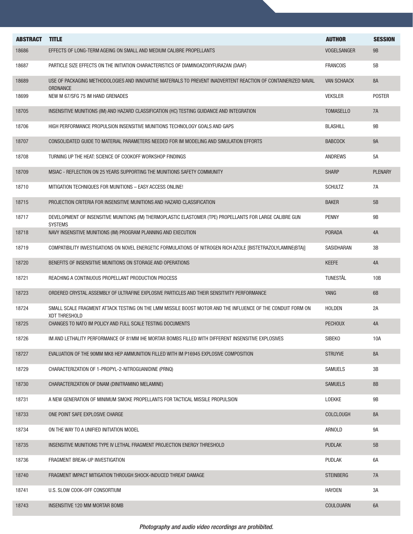| <b>ABSTRACT</b> | <b>TITLE</b>                                                                                                                 | <b>AUTHOR</b>      | <b>SESSION</b> |
|-----------------|------------------------------------------------------------------------------------------------------------------------------|--------------------|----------------|
| 18686           | EFFECTS OF LONG-TERM AGEING ON SMALL AND MEDIUM CALIBRE PROPELLANTS                                                          | <b>VOGELSANGER</b> | <b>9B</b>      |
| 18687           | PARTICLE SIZE EFFECTS ON THE INITIATION CHARACTERISTICS OF DIAMINOAZOXYFURAZAN (DAAF)                                        | <b>FRANCOIS</b>    | 5B             |
| 18689           | USE OF PACKAGING METHODOLOGIES AND INNOVATIVE MATERIALS TO PREVENT INADVERTENT REACTION OF CONTAINERIZED NAVAL<br>ORDNANCE   | <b>VAN SCHAACK</b> | <b>8A</b>      |
| 18699           | NEW M 67/SFG 75 IM HAND GRENADES                                                                                             | <b>VEKSLER</b>     | <b>POSTER</b>  |
| 18705           | INSENSITIVE MUNITIONS (IM) AND HAZARD CLASSIFICATION (HC) TESTING GUIDANCE AND INTEGRATION                                   | <b>TOMASELLO</b>   | 7A             |
| 18706           | HIGH PERFORMANCE PROPULSION INSENSITIVE MUNITIONS TECHNOLOGY GOALS AND GAPS                                                  | <b>BLASHILL</b>    | <b>9B</b>      |
| 18707           | CONSOLIDATED GUIDE TO MATERIAL PARAMETERS NEEDED FOR IM MODELING AND SIMULATION EFFORTS                                      | <b>BABCOCK</b>     | <b>9A</b>      |
| 18708           | TURNING UP THE HEAT: SCIENCE OF COOKOFF WORKSHOP FINDINGS                                                                    | <b>ANDREWS</b>     | 5A             |
| 18709           | MSIAC - REFLECTION ON 25 YEARS SUPPORTING THE MUNITIONS SAFETY COMMUNITY                                                     | <b>SHARP</b>       | <b>PLENARY</b> |
| 18710           | MITIGATION TECHNIQUES FOR MUNITIONS - EASY ACCESS ONLINE!                                                                    | <b>SCHULTZ</b>     | 7A             |
| 18715           | PROJECTION CRITERIA FOR INSENSITIVE MUNITIONS AND HAZARD CLASSIFICATION                                                      | <b>BAKER</b>       | 5B             |
| 18717           | DEVELOPMENT OF INSENSITIVE MUNITIONS (IM) THERMOPLASTIC ELASTOMER (TPE) PROPELLANTS FOR LARGE CALIBRE GUN<br><b>SYSTEMS</b>  | <b>PENNY</b>       | <b>9B</b>      |
| 18718           | NAVY INSENSITIVE MUNITIONS (IM) PROGRAM PLANNING AND EXECUTION                                                               | <b>PORADA</b>      | 4A             |
| 18719           | COMPATIBILITY INVESTIGATIONS ON NOVEL ENERGETIC FORMULATIONS OF NITROGEN RICH AZOLE [BISTETRAZOLYLAMINE(BTA)]                | SASIDHARAN         | 3B             |
| 18720           | BENEFITS OF INSENSITIVE MUNITIONS ON STORAGE AND OPERATIONS                                                                  | <b>KEEFE</b>       | 4A             |
| 18721           | REACHING A CONTINUOUS PROPELLANT PRODUCTION PROCESS                                                                          | TUNESTÅL           | 10B            |
| 18723           | ORDERED CRYSTAL ASSEMBLY OF ULTRAFINE EXPLOSIVE PARTICLES AND THEIR SENSITIVITY PERFORMANCE                                  | <b>YANG</b>        | 6B             |
| 18724           | SMALL SCALE FRAGMENT ATTACK TESTING ON THE LMM MISSILE BOOST MOTOR AND THE INFLUENCE OF THE CONDUIT FORM ON<br>XDT THRESHOLD | <b>HOLDEN</b>      | 2A             |
| 18725           | CHANGES TO NATO IM POLICY AND FULL SCALE TESTING DOCUMENTS                                                                   | <b>PECHOUX</b>     | 4A             |
| 18726           | IM AND LETHALITY PERFORMANCE OF 81MM IHE MORTAR BOMBS FILLED WITH DIFFERENT INSENSITIVE EXPLOSIVES                           | SIBEK <sub>0</sub> | 10A            |
| 18727           | EVALUATION OF THE 90MM MK8 HEP AMMUNITION FILLED WITH IM P16945 EXPLOSIVE COMPOSITION                                        | <b>STRUYVE</b>     | 8A             |
| 18729           | CHARACTERIZATION OF 1-PROPYL-2-NITROGUANIDINE (PRNQ)                                                                         | <b>SAMUELS</b>     | 3B             |
| 18730           | CHARACTERIZATION OF DNAM (DINITRAMINO MELAMINE)                                                                              | <b>SAMUELS</b>     | 8B             |
| 18731           | A NEW GENERATION OF MINIMUM SMOKE PROPELLANTS FOR TACTICAL MISSILE PROPULSION                                                | LOEKKE             | 9B             |
| 18733           | ONE POINT SAFE EXPLOSIVE CHARGE                                                                                              | <b>COLCLOUGH</b>   | 8A             |
| 18734           | ON THE WAY TO A UNIFIED INITIATION MODEL                                                                                     | ARNOLD             | 9A             |
| 18735           | INSENSITIVE MUNITIONS TYPE IV LETHAL FRAGMENT PROJECTION ENERGY THRESHOLD                                                    | <b>PUDLAK</b>      | 5B             |
| 18736           | FRAGMENT BREAK-UP INVESTIGATION                                                                                              | <b>PUDLAK</b>      | 6A             |
| 18740           | FRAGMENT IMPACT MITIGATION THROUGH SHOCK-INDUCED THREAT DAMAGE                                                               | <b>STEINBERG</b>   | 7A             |
| 18741           | U.S. SLOW COOK-OFF CONSORTIUM                                                                                                | <b>HAYDEN</b>      | 3A             |
| 18743           | <b>INSENSITIVE 120 MM MORTAR BOMB</b>                                                                                        | <b>COULOUARN</b>   | 6A             |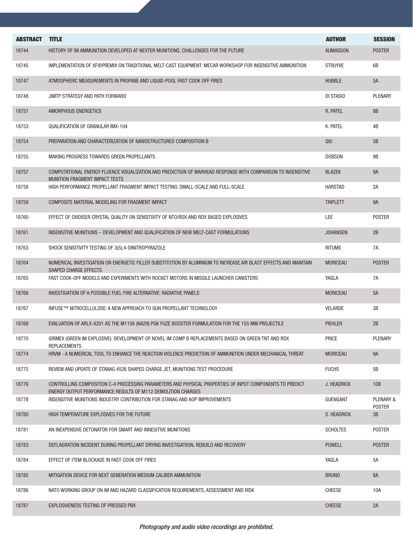| <b>ABSTRACT</b> | <b>TITLE</b>                                                                                                                                                             | <b>AUTHOR</b>   | <b>SESSION</b>                        |
|-----------------|--------------------------------------------------------------------------------------------------------------------------------------------------------------------------|-----------------|---------------------------------------|
| 18744           | HISTORY OF IM AMMUNITION DEVELOPED AT NEXTER MUNITIONS, CHALLENGES FOR THE FUTURE                                                                                        | <b>AUMASSON</b> | <b>POSTER</b>                         |
| 18745           | IMPLEMENTATION OF XF®PREMIX ON TRADITIONAL MELT-CAST EQUIPMENT: MECAR WORKSHOP FOR INSENSITIVE AMMUNITION                                                                | <b>STRUYVE</b>  | 6B                                    |
| 18747           | ATMOSPHERIC MEASUREMENTS IN PROPANE AND LIQUID-POOL FAST COOK OFF FIRES                                                                                                  | <b>HUBBLE</b>   | 5A                                    |
| 18748           | JIMTP STRATEGY AND PATH FORWARD                                                                                                                                          | DI STASIO       | <b>PLENARY</b>                        |
|                 |                                                                                                                                                                          |                 |                                       |
| 18751           | AMORPHOUS ENERGETICS                                                                                                                                                     | R. PATEL        | <b>8B</b>                             |
| 18753           | QUALIFICATION OF GRANULAR IMX-104                                                                                                                                        | K. PATEL        | 4B                                    |
| 18754           | PREPARATION AND CHARACTERIZATION OF NANOSTRUCTURED COMPOSITION B                                                                                                         | QIU             | 5B                                    |
| 18755           | MAKING PROGRESS TOWARDS GREEN PROPELLANTS                                                                                                                                | <b>DOBSON</b>   | <b>9B</b>                             |
| 18757           | COMPUTATIONAL ENERGY FLUENCE VISUALIZATION AND PREDICTION OF WARHEAD RESPONSE WITH COMPARISON TO INSENSITIVE<br><b>MUNITION FRAGMENT IMPACT TESTS</b>                    | <b>BLAZEK</b>   | <b>9A</b>                             |
| 18758           | HIGH PERFORMANCE PROPELLANT FRAGMENT IMPACT TESTING: SMALL-SCALE AND FULL-SCALE                                                                                          | <b>HARSTAD</b>  | 2A                                    |
| 18759           | COMPOSITE MATERIAL MODELING FOR FRAGMENT IMPACT                                                                                                                          | <b>TRIPLETT</b> | <b>9A</b>                             |
| 18760           | EFFECT OF OXIDISER CRYSTAL QUALITY ON SENSITIVITY OF NTO/RDX AND RDX BASED EXPLOSIVES                                                                                    | LEE             | <b>POSTER</b>                         |
| 18761           | INSENSITIVE MUNITIONS - DEVELOPMENT AND QUALIFICATION OF NEW MELT-CAST FORMULATIONS                                                                                      | <b>JOHANSEN</b> | 2B                                    |
| 18763           | SHOCK SENSITIVITY TESTING OF 3(5), 4-DINITROPYRAZOLE                                                                                                                     | <b>RITUMS</b>   | 7A                                    |
| 18764           | NUMERICAL INVESTIGATION ON ENERGETIC FILLER SUBSTITUTION BY ALUMINIUM TO INCREASE AIR BLAST EFFECTS AND MAINTAIN<br>SHAPED CHARGE EFFECTS                                | <b>MORICEAU</b> | <b>POSTER</b>                         |
| 18765           | FAST COOK-OFF MODELS AND EXPERIMENTS WITH ROCKET MOTORS IN MISSILE LAUNCHER CANISTERS                                                                                    | YAGLA           | 7A                                    |
| 18766           | INVESTIGATION OF A POSSIBLE FUEL FIRE ALTERNATIVE: RADIATIVE PANELS                                                                                                      | <b>MORICEAU</b> | 5A                                    |
| 18767           | INFUSE™ NITROCELLULOSE: A NEW APPROACH TO GUN PROPELLANT TECHNOLOGY                                                                                                      | <b>VELARDE</b>  | 3B                                    |
| 18769           | EVALUATION OF ARLX-4201 AS THE M1156 (NA29) PGK FUZE BOOSTER FORMULATION FOR THE 155 MM PROJECTILE                                                                       | <b>PIEHLER</b>  | 2B                                    |
| 18770           | GRIMEX (GREEN IM EXPLOSIVE): DEVELOPMENT OF NOVEL IM COMP B REPLACEMENTS BASED ON GREEN TNT AND RDX<br><b>REPLACEMENTS</b>                                               | <b>PRICE</b>    | <b>PLENARY</b>                        |
| 18774           | HRVM - A NUMERICAL TOOL TO ENHANCE THE REACTION VIOLENCE PREDICTION OF AMMUNITION UNDER MECHANICAL THREAT                                                                | <b>MORICEAU</b> | <b>9A</b>                             |
| 18775           | REVIEW AND UPDATE OF STANAG 4526 SHAPED CHARGE JET, MUNITIONS TEST PROCEDURE                                                                                             | <b>FUCHS</b>    | 5B                                    |
| 18776           | CONTROLLING COMPOSITION C-4 PROCESSING PARAMETERS AND PHYSICAL PROPERTIES OF INPUT COMPONENTS TO PREDICT<br>ENERGY OUTPUT PERFORMANCE RESULTS OF M112 DEMOLITION CHARGES | J. HEADRICK     | 10B                                   |
| 18778           | INSENSITIVE MUNITIONS INDUSTRY CONTRIBUTION FOR STANAG AND AOP IMPROVEMENTS                                                                                              | <b>GUENGANT</b> | <b>PLENARY &amp;</b><br><b>POSTER</b> |
| 18780           | HIGH TEMPERATURE EXPLOSIVES FOR THE FUTURE                                                                                                                               | S. HEADRICK     | 3B                                    |
| 18781           | AN INEXPENSIVE DETONATOR FOR SMART AND INNESITIVE MUNITIONS                                                                                                              | <b>SCHOLTES</b> | <b>POSTER</b>                         |
| 18783           | DEFLAGRATION INCIDENT DURING PROPELLANT DRYING INVESTIGATIION, REBUILD AND RECOVERY                                                                                      | <b>POWELL</b>   | <b>POSTER</b>                         |
| 18784           | EFFECT OF ITEM BLOCKAGE IN FAST COOK OFF FIRES                                                                                                                           | YAGLA           | 5A                                    |
| 18785           | MITIGATION DEVICE FOR NEXT GENERATION MEDIUM CALIBER AMMUNITION                                                                                                          | <b>BRUNO</b>    | <b>8A</b>                             |
| 18786           | NATO WORKING GROUP ON IM AND HAZARD CLASSIFICATION REQUIREMENTS, ASSESSMENT AND RISK                                                                                     | <b>CHEESE</b>   | 10A                                   |
| 18787           | EXPLOSIVENESS TESTING OF PRESSED PBX                                                                                                                                     | <b>CHEESE</b>   | 2A                                    |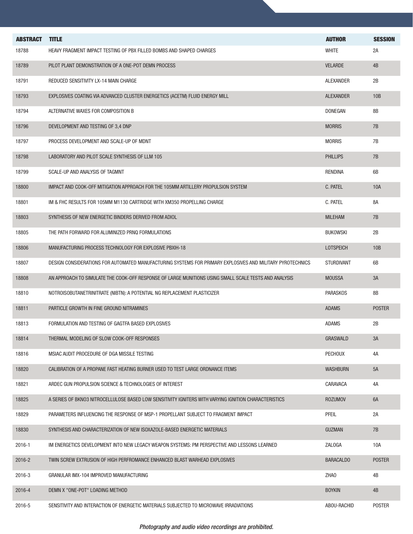| <b>ABSTRACT</b> | <b>TITLE</b><br>HEAVY FRAGMENT IMPACT TESTING OF PBX FILLED BOMBS AND SHAPED CHARGES                       | <b>AUTHOR</b><br><b>WHITE</b> | <b>SESSION</b> |
|-----------------|------------------------------------------------------------------------------------------------------------|-------------------------------|----------------|
| 18788           |                                                                                                            |                               | 2A             |
| 18789           | PILOT PLANT DEMONSTRATION OF A ONE-POT DEMN PROCESS                                                        | <b>VELARDE</b>                | 4B             |
| 18791           | REDUCED SENSITIVITY LX-14 MAIN CHARGE                                                                      | <b>ALEXANDER</b>              | 2B             |
| 18793           | EXPLOSIVES COATING VIA ADVANCED CLUSTER ENERGETICS (ACETM) FLUID ENERGY MILL                               | <b>ALEXANDER</b>              | 10B            |
| 18794           | ALTERNATIVE WAXES FOR COMPOSITION B                                                                        | <b>DONEGAN</b>                | 8B             |
| 18796           | DEVELOPMENT AND TESTING OF 3,4 DNP                                                                         | <b>MORRIS</b>                 | 7B             |
| 18797           | PROCESS DEVELOPMENT AND SCALE-UP OF MDNT                                                                   | <b>MORRIS</b>                 | 7B             |
| 18798           | LABORATORY AND PILOT SCALE SYNTHESIS OF LLM 105                                                            | <b>PHILLIPS</b>               | 7B             |
| 18799           | SCALE-UP AND ANALYSIS OF TAGMNT                                                                            | <b>RENDINA</b>                | 6B             |
| 18800           | IMPACT AND COOK-OFF MITIGATION APPROACH FOR THE 105MM ARTILLERY PROPULSION SYSTEM                          | C. PATEL                      | 10A            |
| 18801           | IM & FHC RESULTS FOR 105MM M1130 CARTRIDGE WITH XM350 PROPELLING CHARGE                                    | C. PATEL                      | 8A             |
| 18803           | SYNTHESIS OF NEW ENERGETIC BINDERS DERIVED FROM ADIOL                                                      | <b>MILEHAM</b>                | 7B             |
| 18805           | THE PATH FORWARD FOR ALUMINIZED PRNQ FORMULATIONS                                                          | <b>BUKOWSKI</b>               | 2B             |
| 18806           | MANUFACTURING PROCESS TECHNOLOGY FOR EXPLOSIVE PBXIH-18                                                    | <b>LOTSPEICH</b>              | 10B            |
| 18807           | DESIGN CONSIDERATIONS FOR AUTOMATED MANUFACTURING SYSTEMS FOR PRIMARY EXPLOSIVES AND MILITARY PYROTECHNICS | <b>STURDIVANT</b>             | 6B             |
| 18808           | AN APPROACH TO SIMULATE THE COOK-OFF RESPONSE OF LARGE MUNITIONS USING SMALL SCALE TESTS AND ANALYSIS      | <b>MOUSSA</b>                 | 3A             |
| 18810           | NOTROISOBUTANETRINITRATE (NIBTN): A POTENTIAL NG REPLACEMENT PLASTICIZER                                   | <b>PARASKOS</b>               | 8B             |
| 18811           | PARTICLE GROWTH IN FINE GROUND NITRAMINES                                                                  | <b>ADAMS</b>                  | <b>POSTER</b>  |
| 18813           | FORMULATION AND TESTING OF GAGTFA BASED EXPLOSIVES                                                         | <b>ADAMS</b>                  | 2B             |
| 18814           | THERMAL MODELING OF SLOW COOK-OFF RESPONSES                                                                | <b>GRASWALD</b>               | 3A             |
| 18816           | MSIAC AUDIT PROCEDURE OF DGA MISSILE TESTING                                                               | <b>PECHOUX</b>                | 4A             |
| 18820           | CALIBRATION OF A PROPANE FAST HEATING BURNER USED TO TEST LARGE ORDNANCE ITEMS                             | <b>WASHBURN</b>               | 5A             |
| 18821           | ARDEC GUN PROPULSION SCIENCE & TECHNOLOGIES OF INTEREST                                                    | CARAVACA                      | 4A             |
| 18825           | A SERIES OF BKNO3 NITROCELLULOSE BASED LOW SENSITIVITY IGNITERS WITH VARYING IGNITION CHARACTERISTICS      | <b>ROZUMOV</b>                | 6A             |
| 18829           | PARAMETERS INFLUENCING THE RESPONSE OF MSP-1 PROPELLANT SUBJECT TO FRAGMENT IMPACT                         | <b>PFEIL</b>                  | 2A             |
| 18830           | SYNTHESIS AND CHARACTERIZATION OF NEW ISOXAZOLE-BASED ENERGETIC MATERIALS                                  | <b>GUZMAN</b>                 | 7B             |
| 2016-1          | IM ENERGETICS DEVELOPMENT INTO NEW LEGACY WEAPON SYSTEMS: PM PERSPECTIVE AND LESSONS LEARNED               | ZALOGA                        | 10A            |
| 2016-2          | TWIN SCREW EXTRUSION OF HIGH PERFROMANCE ENHANCED BLAST WARHEAD EXPLOSIVES                                 | <b>BARACALDO</b>              | <b>POSTER</b>  |
| 2016-3          | GRANULAR IMX-104 IMPROVED MANUFACTURING                                                                    | ZHA0                          | 4B             |
| 2016-4          | DEMN X "ONE-POT" LOADING METHOD                                                                            | <b>BOYKIN</b>                 | 4B             |
| 2016-5          | SENSITIVITY AND INTERACTION OF ENERGETIC MATERIALS SUBJECTED TO MICROWAVE IRRADIATIONS                     | ABOU-RACHID                   | <b>POSTER</b>  |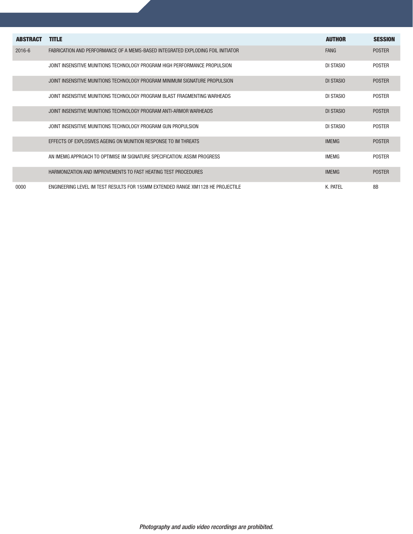| <b>ABSTRACT</b> | <b>TITLE</b>                                                                    | <b>AUTHOR</b> | <b>SESSION</b> |
|-----------------|---------------------------------------------------------------------------------|---------------|----------------|
| $2016 - 6$      | FABRICATION AND PERFORMANCE OF A MEMS-BASED INTEGRATED FXPLODING FOIL INITIATOR | <b>FANG</b>   | <b>POSTER</b>  |
|                 | JOINT INSENSITIVE MUNITIONS TECHNOLOGY PROGRAM HIGH PERFORMANCE PROPULSION      | DI STASIO     | <b>POSTER</b>  |
|                 | JOINT INSENSITIVE MUNITIONS TECHNOLOGY PROGRAM MINIMUM SIGNATURE PROPULSION     | DI STASIO     | <b>POSTER</b>  |
|                 | JOINT INSENSITIVE MUNITIONS TECHNOLOGY PROGRAM BLAST FRAGMENTING WARHEADS       | DI STASIO     | <b>POSTER</b>  |
|                 | JOINT INSENSITIVE MUNITIONS TECHNOLOGY PROGRAM ANTI-ARMOR WARHEADS              | DI STASIO     | <b>POSTER</b>  |
|                 | JOINT INSENSITIVE MUNITIONS TECHNOLOGY PROGRAM GUN PROPULSION.                  | DI STASIO     | <b>POSTER</b>  |
|                 | EFFECTS OF EXPLOSIVES AGEING ON MUNITION RESPONSE TO IM THREATS                 | <b>IMEMG</b>  | <b>POSTER</b>  |
|                 | AN IMEMG APPROACH TO OPTIMISE IM SIGNATURE SPECIFICATION: ASSIM PROGRESS        | <b>IMEMG</b>  | <b>POSTER</b>  |
|                 | HARMONIZATION AND IMPROVEMENTS TO FAST HEATING TEST PROCEDURES                  | <b>IMEMG</b>  | <b>POSTER</b>  |
| 0000            | ENGINEERING LEVEL IM TEST RESULTS FOR 155MM EXTENDED RANGE XM1128 HE PROJECTILE | K. PATEL      | 8B             |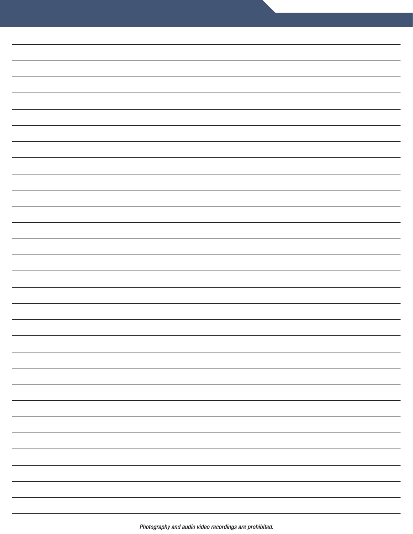|  | -                        |
|--|--------------------------|
|  | $\overline{\phantom{0}}$ |
|  |                          |
|  | —                        |
|  | $\overline{\phantom{0}}$ |
|  |                          |
|  | $\overline{\phantom{0}}$ |
|  | —                        |
|  |                          |
|  | $\overline{\phantom{0}}$ |
|  | —                        |
|  |                          |
|  | —                        |
|  | —                        |
|  |                          |
|  | $\overline{\phantom{0}}$ |
|  |                          |
|  |                          |